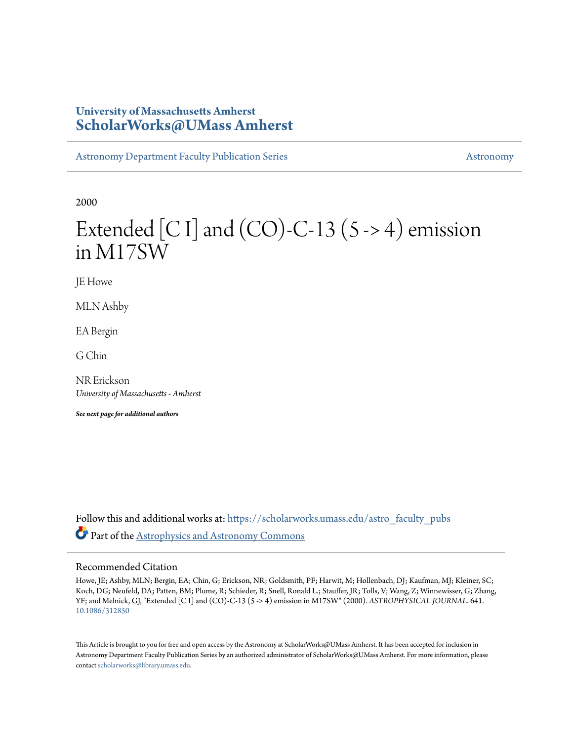## **University of Massachusetts Amherst [ScholarWorks@UMass Amherst](https://scholarworks.umass.edu?utm_source=scholarworks.umass.edu%2Fastro_faculty_pubs%2F641&utm_medium=PDF&utm_campaign=PDFCoverPages)**

[Astronomy Department Faculty Publication Series](https://scholarworks.umass.edu/astro_faculty_pubs?utm_source=scholarworks.umass.edu%2Fastro_faculty_pubs%2F641&utm_medium=PDF&utm_campaign=PDFCoverPages) [Astronomy](https://scholarworks.umass.edu/astro?utm_source=scholarworks.umass.edu%2Fastro_faculty_pubs%2F641&utm_medium=PDF&utm_campaign=PDFCoverPages) Astronomy

2000

# Extended [C I] and  $(CO)$ -C-13 (5 -> 4) emission in M17SW

JE Howe

MLN Ashby

EA Bergin

G Chin

NR Erickson *University of Massachusetts - Amherst*

*See next page for additional authors*

Follow this and additional works at: [https://scholarworks.umass.edu/astro\\_faculty\\_pubs](https://scholarworks.umass.edu/astro_faculty_pubs?utm_source=scholarworks.umass.edu%2Fastro_faculty_pubs%2F641&utm_medium=PDF&utm_campaign=PDFCoverPages) Part of the [Astrophysics and Astronomy Commons](http://network.bepress.com/hgg/discipline/123?utm_source=scholarworks.umass.edu%2Fastro_faculty_pubs%2F641&utm_medium=PDF&utm_campaign=PDFCoverPages)

## Recommended Citation

Howe, JE; Ashby, MLN; Bergin, EA; Chin, G; Erickson, NR; Goldsmith, PF; Harwit, M; Hollenbach, DJ; Kaufman, MJ; Kleiner, SC; Koch, DG; Neufeld, DA; Patten, BM; Plume, R; Schieder, R; Snell, Ronald L.; Stauffer, JR; Tolls, V; Wang, Z; Winnewisser, G; Zhang, YF; and Melnick, GJ, "Extended [C I] and (CO)-C-13 (5 -> 4) emission in M17SW" (2000). *ASTROPHYSICAL JOURNAL*. 641. <10.1086/312850>

This Article is brought to you for free and open access by the Astronomy at ScholarWorks@UMass Amherst. It has been accepted for inclusion in Astronomy Department Faculty Publication Series by an authorized administrator of ScholarWorks@UMass Amherst. For more information, please contact [scholarworks@library.umass.edu](mailto:scholarworks@library.umass.edu).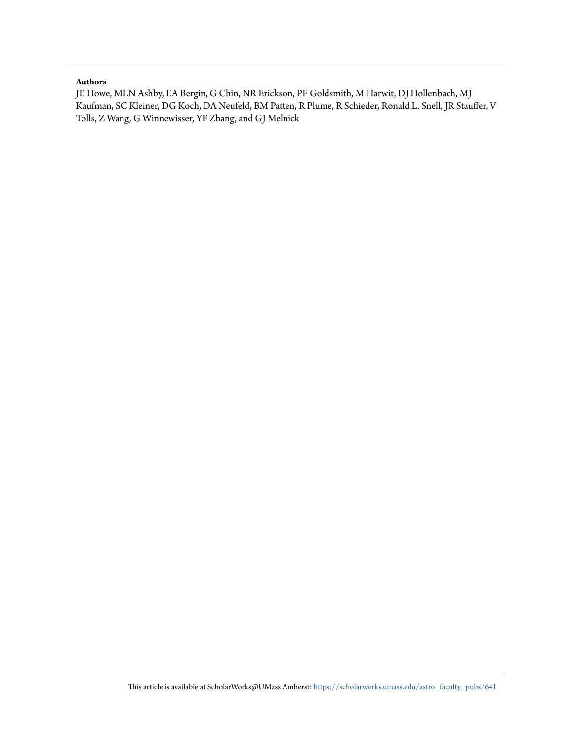### **Authors**

JE Howe, MLN Ashby, EA Bergin, G Chin, NR Erickson, PF Goldsmith, M Harwit, DJ Hollenbach, MJ Kaufman, SC Kleiner, DG Koch, DA Neufeld, BM Patten, R Plume, R Schieder, Ronald L. Snell, JR Stauffer, V Tolls, Z Wang, G Winnewisser, YF Zhang, and GJ Melnick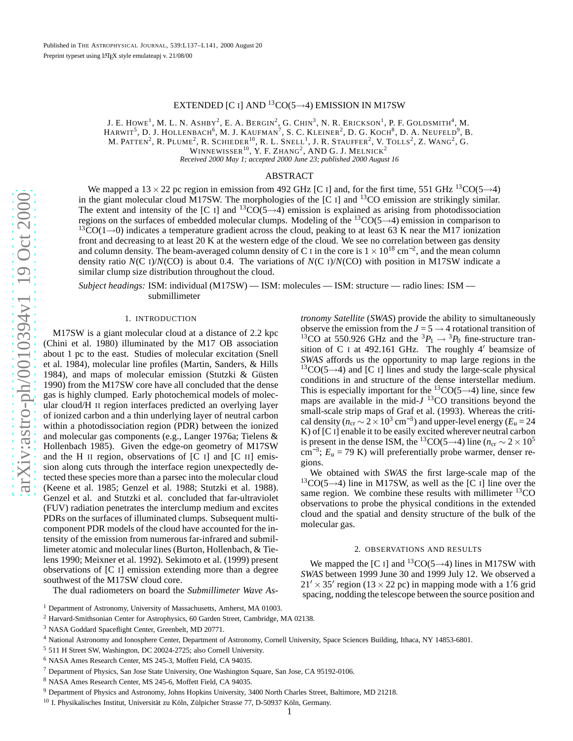## EXTENDED [C I] AND  $^{13} \text{CO}(5 \rightarrow 4)$  EMISSION IN M17SW

J. E. HOWE<sup>1</sup>, M. L. N. Ashby<sup>2</sup>, E. A. Bergin<sup>2</sup>, G. Chin<sup>3</sup>, N. R. Erickson<sup>1</sup>, P. F. Goldsmith<sup>4</sup>, M. HARWIT<sup>5</sup>, D. J. HOLLENBACH<sup>6</sup>, M. J. KAUFMAN<sup>7</sup>, S. C. KLEINER<sup>2</sup>, D. G. KOCH<sup>8</sup>, D. A. NEUFELD<sup>9</sup>, B. M. PATTEN<sup>2</sup>, R. PLUME<sup>2</sup>, R. Schieder<sup>10</sup>, R. L. Snell<sup>1</sup>, J. R. Stauffer<sup>2</sup>, V. Tolls<sup>2</sup>, Z. Wang<sup>2</sup>, G. WINNEWISSER $^{10}$ , Y. F. Zhang<sup>2</sup>, AND G. J. Melnick<sup>2</sup> *Received 2000 May 1; accepted 2000 June 23; published 2000 August 16*

ABSTRACT

We mapped a  $13 \times 22$  pc region in emission from 492 GHz [C I] and, for the first time, 551 GHz  $^{13}CO(5 \rightarrow 4)$ in the giant molecular cloud M17SW. The morphologies of the [C I] and <sup>13</sup>CO emission are strikingly similar. The extent and intensity of the [C I] and  ${}^{13}CO(5 \rightarrow 4)$  emission is explained as arising from photodissociation regions on the surfaces of embedded molecular clumps. Modeling of the  ${}^{13}CO(5\rightarrow4)$  emission in comparison to  ${}^{13}CO(1\rightarrow0)$  indicates a temperature gradient across the cloud, peaking to at least 63 K near the M17 ionization front and decreasing to at least 20 K at the western edge of the cloud. We see no correlation between gas density and column density. The beam-averaged column density of C I in the core is  $1 \times 10^{18}$  cm<sup>-2</sup>, and the mean column density ratio  $N(C I)/N(C O)$  is about 0.4. The variations of  $N(C I)/N(C O)$  with position in M17SW indicate a similar clump size distribution throughout the cloud.

*Subject headings:* ISM: individual (M17SW) — ISM: molecules — ISM: structure — radio lines: ISM submillimeter

#### 1. INTRODUCTION

M17SW is a giant molecular cloud at a distance of 2.2 kpc (Chini et al. 1980) illuminated by the M17 OB association about 1 pc to the east. Studies of molecular excitation (Snel l et al. 1984), molecular line profiles (Martin, Sanders, & Hills 1984), and maps of molecular emission (Stutzki & Güsten 1990) from the M17SW core have all concluded that the dense gas is highly clumped. Early photochemical models of molecular cloud/H II region interfaces predicted an overlying layer of ionized carbon and a thin underlying layer of neutral carbon within a photodissociation region (PDR) between the ionize d and molecular gas components (e.g., Langer 1976a; Tielens & Hollenbach 1985). Given the edge-on geometry of M17SW and the H II region, observations of [C I] and [C II] emission along cuts through the interface region unexpectedly detected these species more than a parsec into the molecular cloud (Keene et al. 1985; Genzel et al. 1988; Stutzki et al. 1988). Genzel et al. and Stutzki et al. concluded that far-ultraviolet (FUV) radiation penetrates the interclump medium and excites PDRs on the surfaces of illuminated clumps. Subsequent multicomponent PDR models of the cloud have accounted for the intensity of the emission from numerous far-infrared and submillimeter atomic and molecular lines (Burton, Hollenbach, & Tielens 1990; Meixner et al. 1992). Sekimoto et al. (1999) present observations of [C I] emission extending more than a degree southwest of the M17SW cloud core.

The dual radiometers on board the *Submillimeter Wave As-*

- <sup>2</sup> Harvard-Smithsonian Center for Astrophysics, 60 Garden Street, Cambridge, MA 02138.
- <sup>3</sup> NASA Goddard Spaceflight Center, Greenbelt, MD 20771.

- <sup>5</sup> 511 H Street SW, Washington, DC 20024-2725; also Cornell University.
- <sup>6</sup> NASA Ames Research Center, MS 245-3, Moffett Field, CA 94035.
- <sup>7</sup> Department of Physics, San Jose State University, One Washington Square, San Jose, CA 95192-0106.

<sup>9</sup> Department of Physics and Astronomy, Johns Hopkins University, 3400 North Charles Street, Baltimore, MD 21218.

*tronomy Satellite* (*SWAS*) provide the ability to simultaneously observe the emission from the  $J = 5 \rightarrow 4$  rotational transition of <sup>13</sup>CO at 550.926 GHz and the <sup>3</sup> $P_1 \rightarrow {}^3P_0$  fine-structure transition of C <sup>I</sup> at 492.161 GHz. The roughly 4′ beamsize of *SWAS* affords us the opportunity to map large regions in the  ${}^{13}CO(5\rightarrow4)$  and [C I] lines and study the large-scale physical conditions in and structure of the dense interstellar medium. This is especially important for the  ${}^{13}CO(5 \rightarrow 4)$  line, since few maps are available in the mid- $J$ <sup>13</sup>CO transitions beyond the small-scale strip maps of Graf et al. (1993). Whereas the critical density ( $n_{cr} \sim 2 \times 10^3$  cm<sup>-3</sup>) and upper-level energy ( $E_u = 24$ K) of [C I] enable it to be easily excited wherever neutral carbon is present in the dense ISM, the <sup>13</sup>CO(5→4) line ( $n_{cr} \sim 2 \times 10^5$  $\text{cm}^{-3}$ ;  $E_u = 79 \text{ K}$ ) will preferentially probe warmer, denser regions.

We obtained with *SWAS* the first large-scale map of the  $13CO(5\rightarrow4)$  line in M17SW, as well as the [C I] line over the same region. We combine these results with millimeter  ${}^{13}$ CO observations to probe the physical conditions in the extended cloud and the spatial and density structure of the bulk of the molecular gas.

#### 2. OBSERVATIONS AND RESULTS

We mapped the [C I] and  ${}^{13}CO(5 \rightarrow 4)$  lines in M17SW with *SWAS* between 1999 June 30 and 1999 July 12. We observed a  $21' \times 35'$  region (13  $\times$  22 pc) in mapping mode with a 1'6 grid spacing, nodding the telescope between the source position and

<sup>&</sup>lt;sup>1</sup> Department of Astronomy, University of Massachusetts, Amherst, MA 01003.

<sup>4</sup> National Astronomy and Ionosphere Center, Department of Astronomy, Cornell University, Space Sciences Building, Ithaca, NY 14853-6801.

<sup>8</sup> NASA Ames Research Center, MS 245-6, Moffett Field, CA 94035.

<sup>10</sup> I. Physikalisches Institut, Universität zu Köln, Zülpicher Strasse 77, D-50937 Köln, Germany.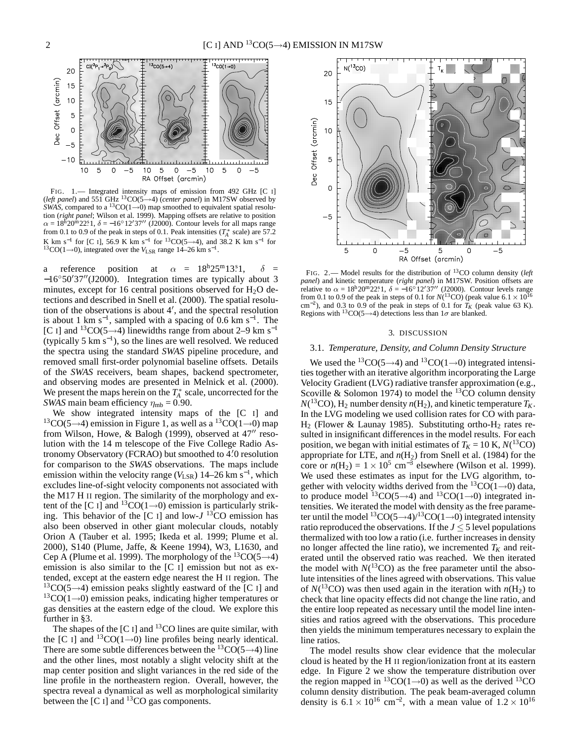

FIG. 1.— Integrated intensity maps of emission from 492 GHz [C I] (*left panel*) and 551 GHz <sup>13</sup>CO(5→4) (*center panel*) in M17SW observed by *SWAS*, compared to a <sup>13</sup>CO(1→0) map smoothed to equivalent spatial resolution (*right panel*; Wilson et al. 1999). Mapping offsets are relative to position  $\alpha = 18^{\rm h}20^{\rm m}22^{\rm s}.$  1, δ = −16<sup>°</sup>12′37′′ (J2000). Contour levels for all maps range from 0.1 to 0.9 of the peak in steps of 0.1. Peak intensities  $(T_A^*$  scale) are 57.2 K km s<sup>-1</sup> for [C I], 56.9 K km s<sup>-1</sup> for <sup>13</sup>CO(5→4), and 38.2 K km s<sup>-1</sup> for <sup>13</sup>CO(1→0), integrated over the *V*<sub>LSR</sub> range 14–26 km s<sup>-1</sup>.

a reference position at  $\alpha = 18^{\text{h}}25^{\text{m}}13.81$ ,  $\delta$  = −16◦50′37′′(J2000). Integration times are typically about 3 minutes, except for 16 central positions observed for  $H_2O$  detections and described in Snell et al. (2000). The spatial resolution of the observations is about 4′ , and the spectral resolution is about 1 km s<sup>-1</sup>, sampled with a spacing of 0.6 km s<sup>-1</sup>. The [C I] and <sup>13</sup>CO(5→4) linewidths range from about 2–9 km s<sup>-1</sup> (typically 5  $km s^{-1}$ ), so the lines are well resolved. We reduced the spectra using the standard *SWAS* pipeline procedure, and removed small first-order polynomial baseline offsets. Details of the *SWAS* receivers, beam shapes, backend spectrometer, and observing modes are presented in Melnick et al. (2000). We present the maps herein on the  $T_A^*$  scale, uncorrected for the *SWAS* main beam efficiency  $\eta_{\rm mb} = 0.90$ .

We show integrated intensity maps of the [C I] and  $13CO(5\rightarrow4)$  emission in Figure 1, as well as a  $13CO(1\rightarrow0)$  map from Wilson, Howe, & Balogh (1999), observed at 47<sup>"</sup> resolution with the 14 m telescope of the Five College Radio Astronomy Observatory (FCRAO) but smoothed to 4. ′0 resolution for comparison to the *SWAS* observations. The maps include emission within the velocity range ( $V_{LSR}$ ) 14–26 km s<sup>-1</sup>, which excludes line-of-sight velocity components not associated with the M17 H II region. The similarity of the morphology and extent of the [C I] and <sup>13</sup>CO(1→0) emission is particularly striking. This behavior of the [C I] and low-*J* <sup>13</sup>CO emission has also been observed in other giant molecular clouds, notably Orion A (Tauber et al. 1995; Ikeda et al. 1999; Plume et al. 2000), S140 (Plume, Jaffe, & Keene 1994), W3, L1630, and Cep A (Plume et al. 1999). The morphology of the  ${}^{13}CO(5\rightarrow4)$ emission is also similar to the [C I] emission but not as extended, except at the eastern edge nearest the H II region. The  $13CO(5\rightarrow4)$  emission peaks slightly eastward of the [C I] and  $13CO(1\rightarrow 0)$  emission peaks, indicating higher temperatures or gas densities at the eastern edge of the cloud. We explore this further in §3.

The shapes of the  $[C]$  and  $^{13}$ CO lines are quite similar, with the [C I] and <sup>13</sup>CO(1→0) line profiles being nearly identical. There are some subtle differences between the  ${}^{13}CO(5\rightarrow4)$  line and the other lines, most notably a slight velocity shift at the map center position and slight variances in the red side of the line profile in the northeastern region. Overall, however, the spectra reveal a dynamical as well as morphological similarity between the  $[C \, I]$  and <sup>13</sup>CO gas components.



FIG. 2.— Model results for the distribution of <sup>13</sup>CO column density (*left panel*) and kinetic temperature (*right panel*) in M17SW. Position offsets are relative to  $\alpha = 18^{\rm h}20^{\rm m}22^{\rm s}1$ ,  $\delta = -16^{\circ}12'37''$  (J2000). Contour levels range from 0.1 to 0.9 of the peak in steps of 0.1 for  $N(^{13}CO)$  (peak value 6.1  $\times$  10<sup>16</sup> cm<sup>-2</sup>), and 0.3 to 0.9 of the peak in steps of 0.1 for  $T_K$  (peak value 63 K). Regions with <sup>13</sup>CO(5→4) detections less than  $1\sigma$  are blanked.

#### 3. DISCUSSION

#### 3.1. *Temperature, Density, and Column Density Structure*

We used the <sup>13</sup>CO(5→4) and <sup>13</sup>CO(1→0) integrated intensities together with an iterative algorithm incorporating the Large Velocity Gradient (LVG) radiative transfer approximation (e.g., Scoville & Solomon 1974) to model the  ${}^{13}$ CO column density  $N(^{13}CO)$ ,  $H_2$  number density  $n(H_2)$ , and kinetic temperature  $T_K$ . In the LVG modeling we used collision rates for CO with para- $H_2$  (Flower & Launay 1985). Substituting ortho- $H_2$  rates resulted in insignificant differences in the model results. For each position, we began with initial estimates of  $T_K = 10 \text{ K}$ ,  $N(^{13}CO)$ appropriate for LTE, and  $n(H_2)$  from Snell et al. (1984) for the core or  $n(H_2) = 1 \times 10^5$  cm<sup>-3</sup> elsewhere (Wilson et al. 1999). We used these estimates as input for the LVG algorithm, together with velocity widths derived from the  ${}^{13}CO(1\rightarrow0)$  data, to produce model <sup>13</sup>CO(5→4) and <sup>13</sup>CO(1→0) integrated intensities. We iterated the model with density as the free parameter until the model  ${}^{13}CO(5\rightarrow4)/{}^{13}CO(1\rightarrow0)$  integrated intensity ratio reproduced the observations. If the  $J \leq 5$  level populations thermalized with too low a ratio (i.e. further increases in density no longer affected the line ratio), we incremented  $T_K$  and reiterated until the observed ratio was reached. We then iterated the model with  $N(^{13}CO)$  as the free parameter until the absolute intensities of the lines agreed with observations. This value of  $N(^{13}CO)$  was then used again in the iteration with  $n(H_2)$  to check that line opacity effects did not change the line ratio, and the entire loop repeated as necessary until the model line intensities and ratios agreed with the observations. This procedure then yields the minimum temperatures necessary to explain the line ratios.

The model results show clear evidence that the molecular cloud is heated by the H II region/ionization front at its eastern edge. In Figure 2 we show the temperature distribution over the region mapped in  ${}^{13}CO(1\rightarrow 0)$  as well as the derived  ${}^{13}CO$ column density distribution. The peak beam-averaged column density is  $6.1 \times 10^{16}$  cm<sup>-2</sup>, with a mean value of  $1.2 \times 10^{16}$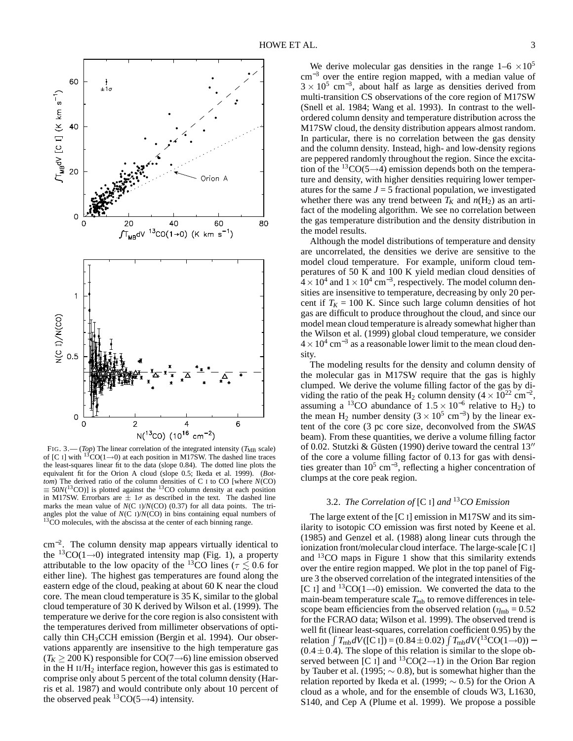

FIG. 3.— (*Top*) The linear correlation of the integrated intensity ( $T_{MB}$  scale) of [C I] with <sup>13</sup>CO(1→0) at each position in M17SW. The dashed line traces the least-squares linear fit to the data (slope 0.84). The dotted line plots the equivalent fit for the Orion A cloud (slope 0.5; Ikeda et al. 1999). (*Bottom*) The derived ratio of the column densities of C I to CO [where *N*(CO)  $\equiv 50N(^{13}CO)$ ] is plotted against the <sup>13</sup>CO column density at each position in M17SW. Errorbars are  $\pm 1\sigma$  as described in the text. The dashed line marks the mean value of  $N(C I)/N(C O)$  (0.37) for all data points. The triangles plot the value of *N*(C I)/*N*(CO) in bins containing equal numbers of <sup>13</sup>CO molecules, with the abscissa at the center of each binning range.

cm<sup>−</sup><sup>2</sup> . The column density map appears virtually identical to the <sup>13</sup>CO(1→0) integrated intensity map (Fig. 1), a property attributable to the low opacity of the <sup>13</sup>CO lines ( $\tau \lesssim 0.6$  for either line). The highest gas temperatures are found along the eastern edge of the cloud, peaking at about 60 K near the cloud core. The mean cloud temperature is 35 K, similar to the global cloud temperature of 30 K derived by Wilson et al. (1999). The temperature we derive for the core region is also consistent with the temperatures derived from millimeter observations of optically thin CH<sub>3</sub>CCH emission (Bergin et al. 1994). Our observations apparently are insensitive to the high temperature gas  $(T_K \geq 200 \text{ K})$  responsible for CO(7→6) line emission observed in the H  $II/H<sub>2</sub>$  interface region, however this gas is estimated to comprise only about 5 percent of the total column density (Harris et al. 1987) and would contribute only about 10 percent of the observed peak  ${}^{13}CO(5\rightarrow4)$  intensity.

We derive molecular gas densities in the range  $1-6 \times 10^5$ cm<sup>-3</sup> over the entire region mapped, with a median value of  $3 \times 10^5$  cm<sup>-3</sup>, about half as large as densities derived from multi-transition CS observations of the core region of M17SW (Snell et al. 1984; Wang et al. 1993). In contrast to the wellordered column density and temperature distribution across the M17SW cloud, the density distribution appears almost random. In particular, there is no correlation between the gas density and the column density. Instead, high- and low-density regions are peppered randomly throughout the region. Since the excitation of the <sup>13</sup>CO(5→4) emission depends both on the temperature and density, with higher densities requiring lower temperatures for the same  $J = 5$  fractional population, we investigated whether there was any trend between  $T_K$  and  $n(H_2)$  as an artifact of the modeling algorithm. We see no correlation between the gas temperature distribution and the density distribution in the model results.

Although the model distributions of temperature and density are uncorrelated, the densities we derive are sensitive to the model cloud temperature. For example, uniform cloud temperatures of 50 K and 100 K yield median cloud densities of  $4 \times 10^4$  and  $1 \times 10^4$  cm<sup>-3</sup>, respectively. The model column densities are insensitive to temperature, decreasing by only 20 percent if  $T_K = 100$  K. Since such large column densities of hot gas are difficult to produce throughout the cloud, and since our model mean cloud temperature is already somewhat higher than the Wilson et al. (1999) global cloud temperature, we consider  $4 \times 10^4$  cm<sup>-3</sup> as a reasonable lower limit to the mean cloud density.

The modeling results for the density and column density of the molecular gas in M17SW require that the gas is highly clumped. We derive the volume filling factor of the gas by dividing the ratio of the peak H<sub>2</sub> column density  $(4 \times 10^{22} \text{ cm}^{-2})$ , assuming a <sup>13</sup>CO abundance of  $1.5 \times 10^{-6}$  relative to H<sub>2</sub>) to the mean H<sub>2</sub> number density  $(3 \times 10^5 \text{ cm}^{-3})$  by the linear extent of the core (3 pc core size, deconvolved from the *SWAS* beam). From these quantities, we derive a volume filling factor of 0.02. Stutzki & Güsten (1990) derive toward the central 13′′ of the core a volume filling factor of 0.13 for gas with densities greater than  $10^5$  cm<sup>-3</sup>, reflecting a higher concentration of clumps at the core peak region.

## 3.2. *The Correlation of* [C I] *and* <sup>13</sup>*CO Emission*

The large extent of the [C I] emission in M17SW and its similarity to isotopic CO emission was first noted by Keene et al. (1985) and Genzel et al. (1988) along linear cuts through the ionization front/molecular cloud interface. The large-scale [C I] and <sup>13</sup>CO maps in Figure 1 show that this similarity extends over the entire region mapped. We plot in the top panel of Figure 3 the observed correlation of the integrated intensities of the [C I] and <sup>13</sup>CO(1→0) emission. We converted the data to the main-beam temperature scale  $T_{\text{mb}}$  to remove differences in telescope beam efficiencies from the observed relation ( $\eta_{\rm mb} = 0.52$ ) for the FCRAO data; Wilson et al. 1999). The observed trend is well fit (linear least-squares, correlation coefficient 0.95) by the  $r$ elation  $\int T_{\rm mb} dV$ ([C I]) = (0.84±0.02)  $\int T_{\rm mb} dV$ (<sup>13</sup>CO(1→0)) −  $(0.4 \pm 0.4)$ . The slope of this relation is similar to the slope observed between [C I] and <sup>13</sup>CO(2→1) in the Orion Bar region by Tauber et al. (1995;  $\sim$  0.8), but is somewhat higher than the relation reported by Ikeda et al. (1999;  $\sim$  0.5) for the Orion A cloud as a whole, and for the ensemble of clouds W3, L1630, S140, and Cep A (Plume et al. 1999). We propose a possible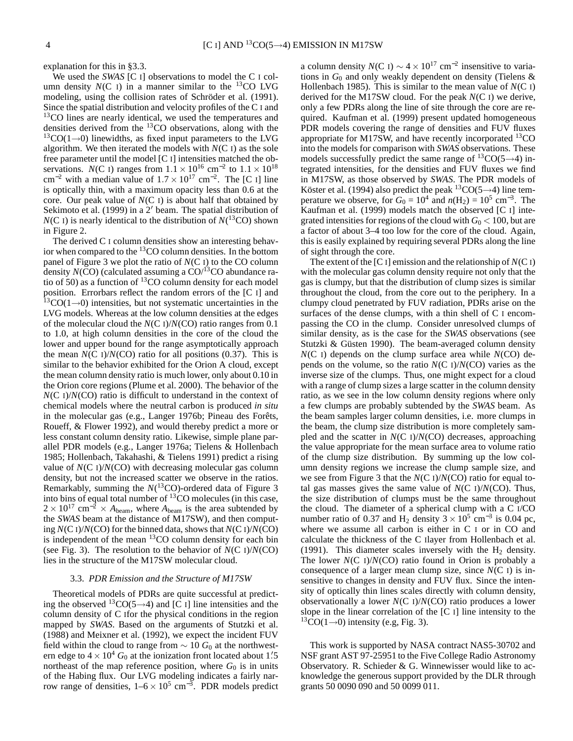explanation for this in §3.3.

We used the *SWAS* [C I] observations to model the C I column density  $N(C)$  in a manner similar to the <sup>13</sup>CO LVG modeling, using the collision rates of Schröder et al. (1991). Since the spatial distribution and velocity profiles of the C I and <sup>13</sup>CO lines are nearly identical, we used the temperatures and densities derived from the <sup>13</sup>CO observations, along with the  $13CO(1\rightarrow0)$  linewidths, as fixed input parameters to the LVG algorithm. We then iterated the models with  $N(C I)$  as the sole free parameter until the model [C I] intensities matched the observations. *N*(C I) ranges from  $1.1 \times 10^{16}$  cm<sup>-2</sup> to  $1.1 \times 10^{18}$ cm<sup>-2</sup> with a median value of  $1.7 \times 10^{17}$  cm<sup>-2</sup>. The [C I] line is optically thin, with a maximum opacity less than 0.6 at the core. Our peak value of *N*(C I) is about half that obtained by Sekimoto et al. (1999) in a 2′ beam. The spatial distribution of  $N(C I)$  is nearly identical to the distribution of  $N(^{13}CO)$  shown in Figure 2.

The derived C I column densities show an interesting behavior when compared to the  ${}^{13}CO$  column densities. In the bottom panel of Figure 3 we plot the ratio of *N*(C I) to the CO column density  $N(CO)$  (calculated assuming a  $CO<sup>13</sup>CO$  abundance ratio of 50) as a function of  ${}^{13}CO$  column density for each model position. Errorbars reflect the random errors of the [C I] and  $13CO(1\rightarrow 0)$  intensities, but not systematic uncertainties in the LVG models. Whereas at the low column densities at the edges of the molecular cloud the *N*(C I)/*N*(CO) ratio ranges from 0.1 to 1.0, at high column densities in the core of the cloud the lower and upper bound for the range asymptotically approach the mean  $N(C I)/N(C O)$  ratio for all positions  $(0.37)$ . This is similar to the behavior exhibited for the Orion A cloud, except the mean column density ratio is much lower, only about 0.10 in the Orion core regions (Plume et al. 2000). The behavior of the *N*(C I)/*N*(CO) ratio is difficult to understand in the context of chemical models where the neutral carbon is produced *in situ* in the molecular gas (e.g., Langer 1976b; Pineau des Forêts, Roueff, & Flower 1992), and would thereby predict a more or less constant column density ratio. Likewise, simple plane parallel PDR models (e.g., Langer 1976a; Tielens & Hollenbach 1985; Hollenbach, Takahashi, & Tielens 1991) predict a rising value of *N*(C I)/*N*(CO) with decreasing molecular gas column density, but not the increased scatter we observe in the ratios. Remarkably, summing the  $N(^{13}CO)$ -ordered data of Figure 3 into bins of equal total number of <sup>13</sup>CO molecules (in this case,  $2 \times 10^{17}$  cm<sup>-2</sup> × *A*<sub>beam</sub>, where *A*<sub>beam</sub> is the area subtended by the *SWAS* beam at the distance of M17SW), and then computing *N*(C I)/*N*(CO) for the binned data, shows that *N*(C I)/*N*(CO) is independent of the mean  ${}^{13}$ CO column density for each bin (see Fig. 3). The resolution to the behavior of *N*(C I)/*N*(CO) lies in the structure of the M17SW molecular cloud.

#### 3.3. *PDR Emission and the Structure of M17SW*

Theoretical models of PDRs are quite successful at predicting the observed <sup>13</sup>CO(5→4) and [C I] line intensities and the column density of C Ifor the physical conditions in the region mapped by *SWAS*. Based on the arguments of Stutzki et al. (1988) and Meixner et al. (1992), we expect the incident FUV field within the cloud to range from  $\sim 10 G_0$  at the northwestern edge to  $4 \times 10^4$  *G*<sub>0</sub> at the ionization front located about 1.5 northeast of the map reference position, where  $G_0$  is in units of the Habing flux. Our LVG modeling indicates a fairly narrow range of densities,  $1-6 \times 10^5$  cm<sup>-3</sup>. PDR models predict

a column density  $N(C I) \sim 4 \times 10^{17}$  cm<sup>-2</sup> insensitive to variations in  $G_0$  and only weakly dependent on density (Tielens  $\&$ Hollenbach 1985). This is similar to the mean value of *N*(C I) derived for the M17SW cloud. For the peak *N*(C I) we derive, only a few PDRs along the line of site through the core are required. Kaufman et al. (1999) present updated homogeneous PDR models covering the range of densities and FUV fluxes appropriate for M17SW, and have recently incorporated  ${}^{13}$ CO into the models for comparison with *SWAS* observations. These models successfully predict the same range of  ${}^{13}CO(5\rightarrow4)$  integrated intensities, for the densities and FUV fluxes we find in M17SW, as those observed by *SWAS*. The PDR models of Köster et al. (1994) also predict the peak  ${}^{13}CO(5\rightarrow4)$  line temperature we observe, for  $G_0 = 10^4$  and  $n(H_2) = 10^5$  cm<sup>-3</sup>. The Kaufman et al. (1999) models match the observed [C I] integrated intensities for regions of the cloud with  $G_0 < 100$ , but are a factor of about 3–4 too low for the core of the cloud. Again, this is easily explained by requiring several PDRs along the line of sight through the core.

The extent of the  $[C_1]$  emission and the relationship of  $N(C_1)$ with the molecular gas column density require not only that the gas is clumpy, but that the distribution of clump sizes is similar throughout the cloud, from the core out to the periphery. In a clumpy cloud penetrated by FUV radiation, PDRs arise on the surfaces of the dense clumps, with a thin shell of C I encompassing the CO in the clump. Consider unresolved clumps of similar density, as is the case for the *SWAS* observations (see Stutzki & Güsten 1990). The beam-averaged column density *N*(C I) depends on the clump surface area while *N*(CO) depends on the volume, so the ratio *N*(C I)/*N*(CO) varies as the inverse size of the clumps. Thus, one might expect for a cloud with a range of clump sizes a large scatter in the column density ratio, as we see in the low column density regions where only a few clumps are probably subtended by the *SWAS* beam. As the beam samples larger column densities, i.e. more clumps in the beam, the clump size distribution is more completely sampled and the scatter in *N*(C I)/*N*(CO) decreases, approaching the value appropriate for the mean surface area to volume ratio of the clump size distribution. By summing up the low column density regions we increase the clump sample size, and we see from Figure 3 that the *N*(C I)/*N*(CO) ratio for equal total gas masses gives the same value of  $N(C I)/N(C O)$ . Thus, the size distribution of clumps must be the same throughout the cloud. The diameter of a spherical clump with a C I/CO number ratio of 0.37 and H<sub>2</sub> density  $3 \times 10^5$  cm<sup>-3</sup> is 0.04 pc, where we assume all carbon is either in C I or in CO and calculate the thickness of the C Ilayer from Hollenbach et al. (1991). This diameter scales inversely with the  $H_2$  density. The lower *N*(C I)/*N*(CO) ratio found in Orion is probably a consequence of a larger mean clump size, since *N*(C I) is insensitive to changes in density and FUV flux. Since the intensity of optically thin lines scales directly with column density, observationally a lower *N*(C I)/*N*(CO) ratio produces a lower slope in the linear correlation of the [C I] line intensity to the  ${}^{13}CO(1\rightarrow0)$  intensity (e.g, Fig. 3).

This work is supported by NASA contract NAS5-30702 and NSF grant AST 97-25951 to the Five College Radio Astronomy Observatory. R. Schieder & G. Winnewisser would like to acknowledge the generous support provided by the DLR through grants 50 0090 090 and 50 0099 011.